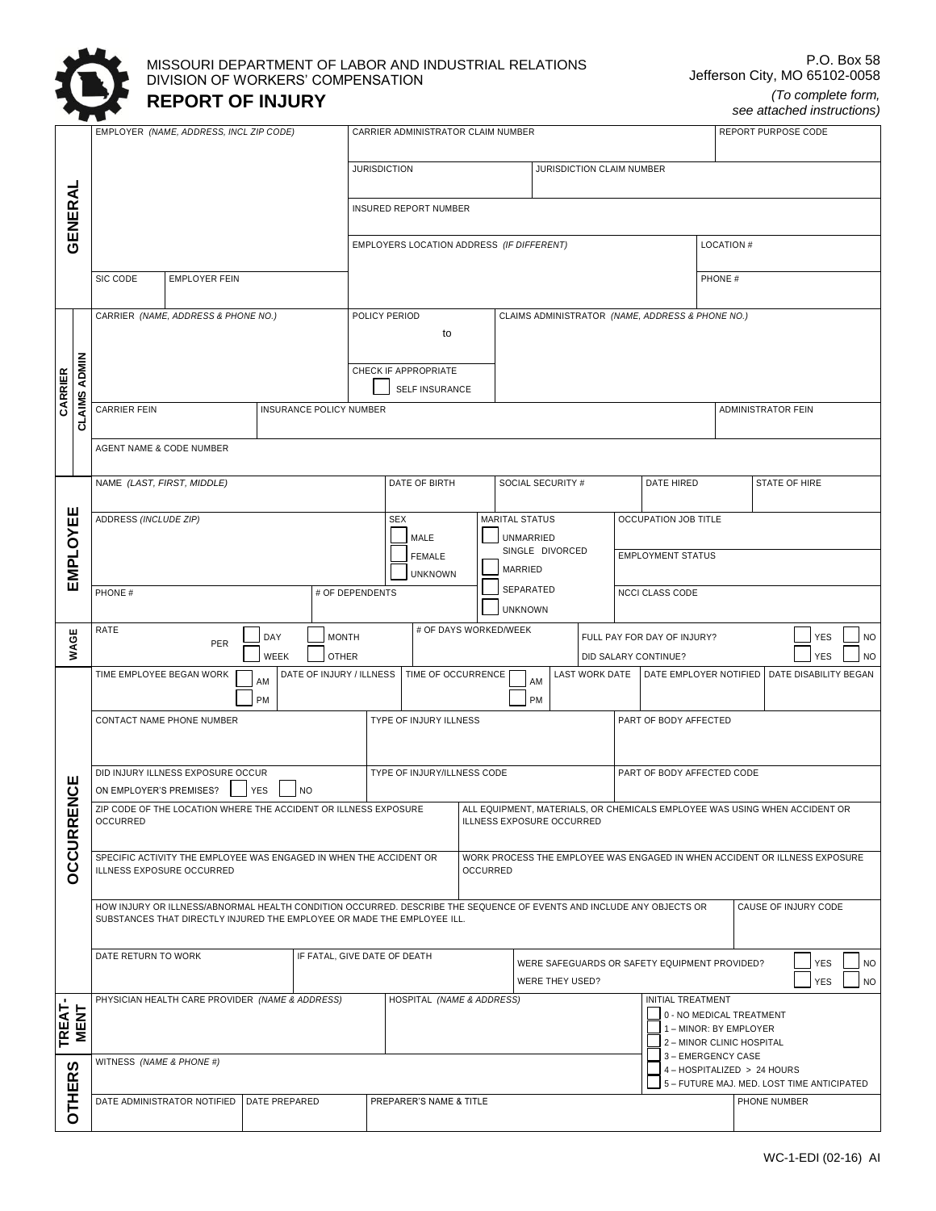

### MISSOURI DEPARTMENT OF LABOR AND INDUSTRIAL RELATIONS DIVISION OF WORKERS' COMPENSATION **REPORT OF INJURY**

*see attached instructions)*

|                        |                                                                                     | EMPLOYER (NAME, ADDRESS, INCL ZIP CODE)                                                         |                                                 |               | CARRIER ADMINISTRATOR CLAIM NUMBER          |                                                                                                         |                                                                                                                      |                                           |            |                      |                            | REPORT PURPOSE CODE                               |                           |  |                                                                 |                                                                           |                  |               |            |           |
|------------------------|-------------------------------------------------------------------------------------|-------------------------------------------------------------------------------------------------|-------------------------------------------------|---------------|---------------------------------------------|---------------------------------------------------------------------------------------------------------|----------------------------------------------------------------------------------------------------------------------|-------------------------------------------|------------|----------------------|----------------------------|---------------------------------------------------|---------------------------|--|-----------------------------------------------------------------|---------------------------------------------------------------------------|------------------|---------------|------------|-----------|
|                        |                                                                                     |                                                                                                 |                                                 |               |                                             |                                                                                                         |                                                                                                                      |                                           |            |                      |                            |                                                   |                           |  |                                                                 |                                                                           |                  |               |            |           |
|                        |                                                                                     |                                                                                                 |                                                 |               |                                             | <b>JURISDICTION</b>                                                                                     |                                                                                                                      |                                           |            |                      |                            |                                                   | JURISDICTION CLAIM NUMBER |  |                                                                 |                                                                           |                  |               |            |           |
| GENERAL                |                                                                                     |                                                                                                 |                                                 |               |                                             |                                                                                                         | INSURED REPORT NUMBER                                                                                                |                                           |            |                      |                            |                                                   |                           |  |                                                                 |                                                                           |                  |               |            |           |
|                        |                                                                                     |                                                                                                 |                                                 |               |                                             |                                                                                                         |                                                                                                                      | EMPLOYERS LOCATION ADDRESS (IF DIFFERENT) |            |                      |                            |                                                   |                           |  |                                                                 |                                                                           | <b>LOCATION#</b> |               |            |           |
|                        |                                                                                     | SIC CODE                                                                                        | <b>EMPLOYER FEIN</b>                            |               |                                             |                                                                                                         |                                                                                                                      |                                           |            |                      |                            |                                                   |                           |  |                                                                 | PHONE #                                                                   |                  |               |            |           |
|                        |                                                                                     |                                                                                                 |                                                 |               |                                             |                                                                                                         |                                                                                                                      |                                           |            |                      |                            |                                                   |                           |  |                                                                 |                                                                           |                  |               |            |           |
|                        |                                                                                     | CARRIER (NAME, ADDRESS & PHONE NO.)                                                             |                                                 |               |                                             | POLICY PERIOD<br>CLAIMS ADMINISTRATOR (NAME, ADDRESS & PHONE NO.)<br>to                                 |                                                                                                                      |                                           |            |                      |                            |                                                   |                           |  |                                                                 |                                                                           |                  |               |            |           |
|                        |                                                                                     |                                                                                                 |                                                 |               |                                             |                                                                                                         |                                                                                                                      |                                           |            |                      |                            |                                                   |                           |  |                                                                 |                                                                           |                  |               |            |           |
|                        | <b>CLAIMS ADMIN</b>                                                                 |                                                                                                 |                                                 |               |                                             | CHECK IF APPROPRIATE                                                                                    |                                                                                                                      |                                           |            |                      |                            |                                                   |                           |  |                                                                 |                                                                           |                  |               |            |           |
| CARRIER                |                                                                                     | CARRIER FEIN                                                                                    |                                                 |               | INSURANCE POLICY NUMBER                     |                                                                                                         |                                                                                                                      | SELF INSURANCE                            |            |                      |                            |                                                   |                           |  | ADMINISTRATOR FEIN                                              |                                                                           |                  |               |            |           |
|                        |                                                                                     |                                                                                                 |                                                 |               |                                             |                                                                                                         |                                                                                                                      |                                           |            |                      |                            |                                                   |                           |  |                                                                 |                                                                           |                  |               |            |           |
|                        |                                                                                     | AGENT NAME & CODE NUMBER                                                                        |                                                 |               |                                             |                                                                                                         |                                                                                                                      |                                           |            |                      |                            |                                                   |                           |  |                                                                 |                                                                           |                  |               |            |           |
|                        |                                                                                     |                                                                                                 |                                                 |               |                                             |                                                                                                         |                                                                                                                      | DATE OF BIRTH                             |            |                      |                            | SOCIAL SECURITY #                                 |                           |  | DATE HIRED                                                      |                                                                           |                  | STATE OF HIRE |            |           |
|                        |                                                                                     | NAME (LAST, FIRST, MIDDLE)                                                                      |                                                 |               |                                             |                                                                                                         |                                                                                                                      |                                           |            |                      |                            |                                                   |                           |  |                                                                 |                                                                           |                  |               |            |           |
| EMPLOYEE               |                                                                                     | ADDRESS (INCLUDE ZIP)                                                                           |                                                 |               |                                             |                                                                                                         | <b>SEX</b><br>MARITAL STATUS<br>MALE<br>UNMARRIED<br>SINGLE DIVORCED<br><b>FEMALE</b>                                |                                           |            | OCCUPATION JOB TITLE |                            |                                                   |                           |  |                                                                 |                                                                           |                  |               |            |           |
|                        |                                                                                     |                                                                                                 |                                                 |               |                                             |                                                                                                         |                                                                                                                      |                                           |            |                      | <b>EMPLOYMENT STATUS</b>   |                                                   |                           |  |                                                                 |                                                                           |                  |               |            |           |
|                        |                                                                                     |                                                                                                 |                                                 |               |                                             | MARRIED<br><b>UNKNOWN</b><br>SEPARATED                                                                  |                                                                                                                      |                                           |            |                      |                            |                                                   |                           |  |                                                                 |                                                                           |                  |               |            |           |
|                        |                                                                                     | PHONE #                                                                                         |                                                 |               |                                             | # OF DEPENDENTS                                                                                         | NCCI CLASS CODE<br><b>UNKNOWN</b>                                                                                    |                                           |            |                      |                            |                                                   |                           |  |                                                                 |                                                                           |                  |               |            |           |
|                        | # OF DAYS WORKED/WEEK<br>RATE<br><b>MONTH</b><br>DAY<br>FULL PAY FOR DAY OF INJURY? |                                                                                                 |                                                 |               |                                             |                                                                                                         |                                                                                                                      |                                           | <b>YES</b> | <b>NO</b>            |                            |                                                   |                           |  |                                                                 |                                                                           |                  |               |            |           |
| WAGE                   |                                                                                     |                                                                                                 | PER                                             | WEEK          | <b>OTHER</b>                                |                                                                                                         |                                                                                                                      |                                           |            |                      |                            |                                                   |                           |  | DID SALARY CONTINUE?                                            |                                                                           |                  |               | <b>YES</b> | <b>NO</b> |
|                        |                                                                                     | TIME EMPLOYEE BEGAN WORK                                                                        |                                                 | AM            | DATE OF INJURY / ILLNESS TIME OF OCCURRENCE |                                                                                                         |                                                                                                                      |                                           |            |                      | AM                         |                                                   |                           |  | LAST WORK DATE   DATE EMPLOYER NOTIFIED   DATE DISABILITY BEGAN |                                                                           |                  |               |            |           |
|                        |                                                                                     | PM                                                                                              |                                                 |               |                                             | PM                                                                                                      |                                                                                                                      |                                           |            |                      |                            |                                                   |                           |  |                                                                 |                                                                           |                  |               |            |           |
|                        |                                                                                     | CONTACT NAME PHONE NUMBER                                                                       |                                                 |               |                                             | TYPE OF INJURY ILLNESS                                                                                  |                                                                                                                      |                                           |            |                      | PART OF BODY AFFECTED      |                                                   |                           |  |                                                                 |                                                                           |                  |               |            |           |
|                        |                                                                                     |                                                                                                 |                                                 |               |                                             |                                                                                                         |                                                                                                                      |                                           |            |                      |                            |                                                   |                           |  |                                                                 |                                                                           |                  |               |            |           |
| <b>UCE</b>             |                                                                                     | DID INJURY ILLNESS EXPOSURE OCCUR<br>ON EMPLOYER'S PREMISES?<br><b>NO</b><br><b>YES</b>         |                                                 |               |                                             | TYPE OF INJURY/ILLNESS CODE                                                                             |                                                                                                                      |                                           |            |                      | PART OF BODY AFFECTED CODE |                                                   |                           |  |                                                                 |                                                                           |                  |               |            |           |
| ш<br>ᅙ                 |                                                                                     | ZIP CODE OF THE LOCATION WHERE THE ACCIDENT OR ILLNESS EXPOSURE<br><b>OCCURRED</b>              |                                                 |               |                                             | ALL EQUIPMENT, MATERIALS, OR CHEMICALS EMPLOYEE WAS USING WHEN ACCIDENT OR<br>ILLNESS EXPOSURE OCCURRED |                                                                                                                      |                                           |            |                      |                            |                                                   |                           |  |                                                                 |                                                                           |                  |               |            |           |
|                        |                                                                                     |                                                                                                 |                                                 |               |                                             |                                                                                                         |                                                                                                                      |                                           |            |                      |                            |                                                   |                           |  |                                                                 |                                                                           |                  |               |            |           |
| <b>DCCUR</b>           |                                                                                     | SPECIFIC ACTIVITY THE EMPLOYEE WAS ENGAGED IN WHEN THE ACCIDENT OR<br>ILLNESS EXPOSURE OCCURRED |                                                 |               |                                             | WORK PROCESS THE EMPLOYEE WAS ENGAGED IN WHEN ACCIDENT OR ILLNESS EXPOSURE<br><b>OCCURRED</b>           |                                                                                                                      |                                           |            |                      |                            |                                                   |                           |  |                                                                 |                                                                           |                  |               |            |           |
|                        |                                                                                     | CAUSE OF INJURY CODE                                                                            |                                                 |               |                                             |                                                                                                         |                                                                                                                      |                                           |            |                      |                            |                                                   |                           |  |                                                                 |                                                                           |                  |               |            |           |
|                        |                                                                                     | SUBSTANCES THAT DIRECTLY INJURED THE EMPLOYEE OR MADE THE EMPLOYEE ILL.                         |                                                 |               |                                             |                                                                                                         | HOW INJURY OR ILLNESS/ABNORMAL HEALTH CONDITION OCCURRED. DESCRIBE THE SEQUENCE OF EVENTS AND INCLUDE ANY OBJECTS OR |                                           |            |                      |                            |                                                   |                           |  |                                                                 |                                                                           |                  |               |            |           |
|                        |                                                                                     | DATE RETURN TO WORK                                                                             |                                                 |               |                                             |                                                                                                         | IF FATAL, GIVE DATE OF DEATH<br>WERE SAFEGUARDS OR SAFETY EQUIPMENT PROVIDED?                                        |                                           |            |                      |                            |                                                   |                           |  | <b>YES</b>                                                      | <b>NO</b>                                                                 |                  |               |            |           |
|                        |                                                                                     |                                                                                                 |                                                 |               |                                             |                                                                                                         |                                                                                                                      |                                           |            |                      |                            | WERE THEY USED?                                   |                           |  |                                                                 |                                                                           |                  |               | <b>YES</b> | <b>NO</b> |
|                        |                                                                                     |                                                                                                 | PHYSICIAN HEALTH CARE PROVIDER (NAME & ADDRESS) |               |                                             |                                                                                                         |                                                                                                                      | HOSPITAL (NAME & ADDRESS)                 |            |                      |                            |                                                   |                           |  | INITIAL TREATMENT                                               | 0 - NO MEDICAL TREATMENT                                                  |                  |               |            |           |
| <b>TREAT-<br/>MENT</b> |                                                                                     |                                                                                                 |                                                 |               |                                             |                                                                                                         |                                                                                                                      |                                           |            |                      |                            | 1-MINOR: BY EMPLOYER<br>2 - MINOR CLINIC HOSPITAL |                           |  |                                                                 |                                                                           |                  |               |            |           |
| ທ                      |                                                                                     | WITNESS (NAME & PHONE #)                                                                        |                                                 |               |                                             |                                                                                                         |                                                                                                                      |                                           |            |                      |                            |                                                   |                           |  |                                                                 | 3 - EMERGENCY CASE                                                        |                  |               |            |           |
|                        |                                                                                     |                                                                                                 |                                                 |               |                                             |                                                                                                         |                                                                                                                      |                                           |            |                      |                            |                                                   |                           |  |                                                                 | 4 - HOSPITALIZED > 24 HOURS<br>5 - FUTURE MAJ. MED. LOST TIME ANTICIPATED |                  |               |            |           |
| <b>OTHER</b>           |                                                                                     |                                                                                                 | DATE ADMINISTRATOR NOTIFIED                     | DATE PREPARED |                                             |                                                                                                         |                                                                                                                      | PREPARER'S NAME & TITLE                   |            |                      |                            |                                                   |                           |  |                                                                 |                                                                           |                  | PHONE NUMBER  |            |           |
|                        |                                                                                     |                                                                                                 |                                                 |               |                                             |                                                                                                         |                                                                                                                      |                                           |            |                      |                            |                                                   |                           |  |                                                                 |                                                                           |                  |               |            |           |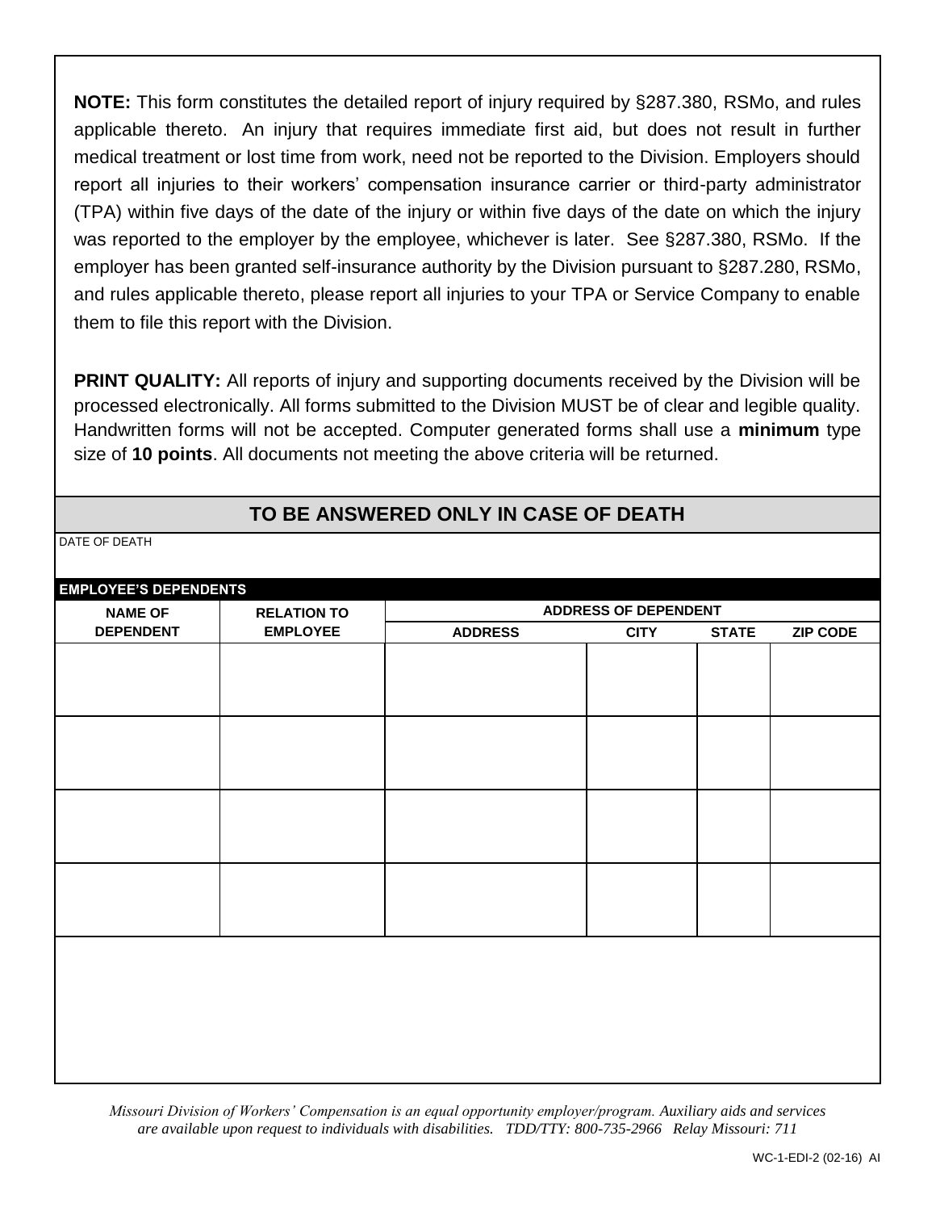**NOTE:** This form constitutes the detailed report of injury required by §287.380, RSMo, and rules applicable thereto. An injury that requires immediate first aid, but does not result in further medical treatment or lost time from work, need not be reported to the Division. Employers should report all injuries to their workers' compensation insurance carrier or third-party administrator (TPA) within five days of the date of the injury or within five days of the date on which the injury was reported to the employer by the employee, whichever is later. See §287.380, RSMo. If the employer has been granted self-insurance authority by the Division pursuant to §287.280, RSMo, and rules applicable thereto, please report all injuries to your TPA or Service Company to enable them to file this report with the Division.

**PRINT QUALITY:** All reports of injury and supporting documents received by the Division will be processed electronically. All forms submitted to the Division MUST be of clear and legible quality. Handwritten forms will not be accepted. Computer generated forms shall use a **minimum** type size of **10 points**. All documents not meeting the above criteria will be returned.

## **TO BE ANSWERED ONLY IN CASE OF DEATH**

DATE OF DEATH

| <b>EMPLOYEE'S DEPENDENTS</b> |                    |                |                             |              |                 |  |
|------------------------------|--------------------|----------------|-----------------------------|--------------|-----------------|--|
| <b>NAME OF</b>               | <b>RELATION TO</b> |                | <b>ADDRESS OF DEPENDENT</b> |              |                 |  |
| <b>DEPENDENT</b>             | <b>EMPLOYEE</b>    | <b>ADDRESS</b> | <b>CITY</b>                 | <b>STATE</b> | <b>ZIP CODE</b> |  |
|                              |                    |                |                             |              |                 |  |
|                              |                    |                |                             |              |                 |  |
|                              |                    |                |                             |              |                 |  |
|                              |                    |                |                             |              |                 |  |
|                              |                    |                |                             |              |                 |  |
|                              |                    |                |                             |              |                 |  |
|                              |                    |                |                             |              |                 |  |
|                              |                    |                |                             |              |                 |  |
|                              |                    |                |                             |              |                 |  |
|                              |                    |                |                             |              |                 |  |
|                              |                    |                |                             |              |                 |  |
|                              |                    |                |                             |              |                 |  |
|                              |                    |                |                             |              |                 |  |
|                              |                    |                |                             |              |                 |  |

*Missouri Division of Workers' Compensation is an equal opportunity employer/program. Auxiliary aids and services are available upon request to individuals with disabilities. TDD/TTY: 800-735-2966 Relay Missouri: 711*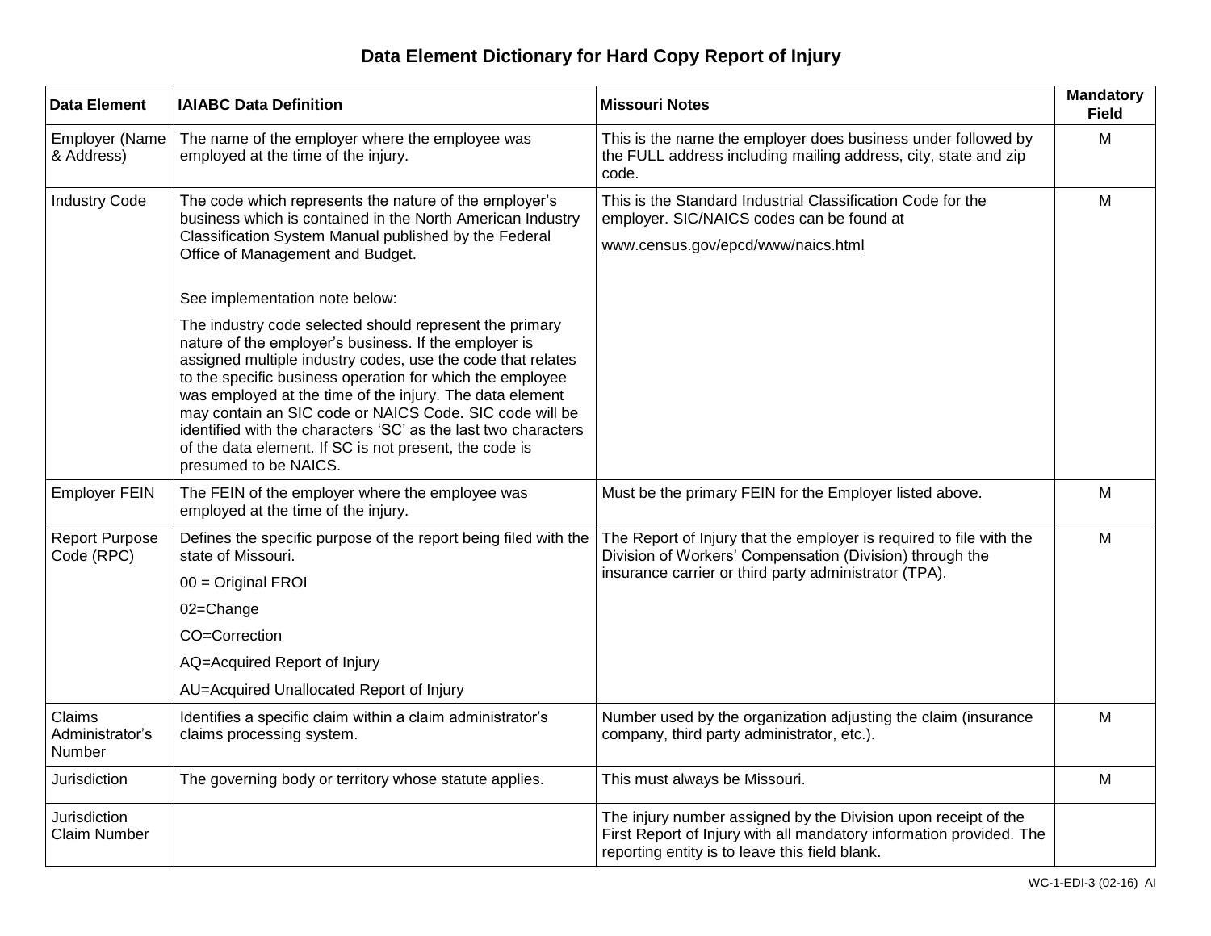# **Data Element Dictionary for Hard Copy Report of Injury**

| <b>Data Element</b>                 | <b>IAIABC Data Definition</b>                                                                                                                                                                                                                                                                                                                                                                                                                                                                                                                                                                                                                                                                                                                                                   | <b>Missouri Notes</b>                                                                                                                                                                    | <b>Mandatory</b><br><b>Field</b> |
|-------------------------------------|---------------------------------------------------------------------------------------------------------------------------------------------------------------------------------------------------------------------------------------------------------------------------------------------------------------------------------------------------------------------------------------------------------------------------------------------------------------------------------------------------------------------------------------------------------------------------------------------------------------------------------------------------------------------------------------------------------------------------------------------------------------------------------|------------------------------------------------------------------------------------------------------------------------------------------------------------------------------------------|----------------------------------|
| <b>Employer (Name</b><br>& Address) | The name of the employer where the employee was<br>employed at the time of the injury.                                                                                                                                                                                                                                                                                                                                                                                                                                                                                                                                                                                                                                                                                          | This is the name the employer does business under followed by<br>the FULL address including mailing address, city, state and zip<br>code.                                                | M                                |
| <b>Industry Code</b>                | The code which represents the nature of the employer's<br>business which is contained in the North American Industry<br>Classification System Manual published by the Federal<br>Office of Management and Budget.<br>See implementation note below:<br>The industry code selected should represent the primary<br>nature of the employer's business. If the employer is<br>assigned multiple industry codes, use the code that relates<br>to the specific business operation for which the employee<br>was employed at the time of the injury. The data element<br>may contain an SIC code or NAICS Code. SIC code will be<br>identified with the characters 'SC' as the last two characters<br>of the data element. If SC is not present, the code is<br>presumed to be NAICS. | This is the Standard Industrial Classification Code for the<br>employer. SIC/NAICS codes can be found at<br>www.census.gov/epcd/www/naics.html                                           | M                                |
| <b>Employer FEIN</b>                | The FEIN of the employer where the employee was<br>employed at the time of the injury.                                                                                                                                                                                                                                                                                                                                                                                                                                                                                                                                                                                                                                                                                          | Must be the primary FEIN for the Employer listed above.                                                                                                                                  | M                                |
| <b>Report Purpose</b><br>Code (RPC) | Defines the specific purpose of the report being filed with the<br>state of Missouri.<br>$00 =$ Original FROI<br>02=Change<br>CO=Correction<br>AQ=Acquired Report of Injury<br>AU=Acquired Unallocated Report of Injury                                                                                                                                                                                                                                                                                                                                                                                                                                                                                                                                                         | The Report of Injury that the employer is required to file with the<br>Division of Workers' Compensation (Division) through the<br>insurance carrier or third party administrator (TPA). | M                                |
| Claims<br>Administrator's<br>Number | Identifies a specific claim within a claim administrator's<br>claims processing system.                                                                                                                                                                                                                                                                                                                                                                                                                                                                                                                                                                                                                                                                                         | Number used by the organization adjusting the claim (insurance<br>company, third party administrator, etc.).                                                                             | M                                |
| Jurisdiction                        | The governing body or territory whose statute applies.                                                                                                                                                                                                                                                                                                                                                                                                                                                                                                                                                                                                                                                                                                                          | This must always be Missouri.                                                                                                                                                            | M                                |
| Jurisdiction<br><b>Claim Number</b> |                                                                                                                                                                                                                                                                                                                                                                                                                                                                                                                                                                                                                                                                                                                                                                                 | The injury number assigned by the Division upon receipt of the<br>First Report of Injury with all mandatory information provided. The<br>reporting entity is to leave this field blank.  |                                  |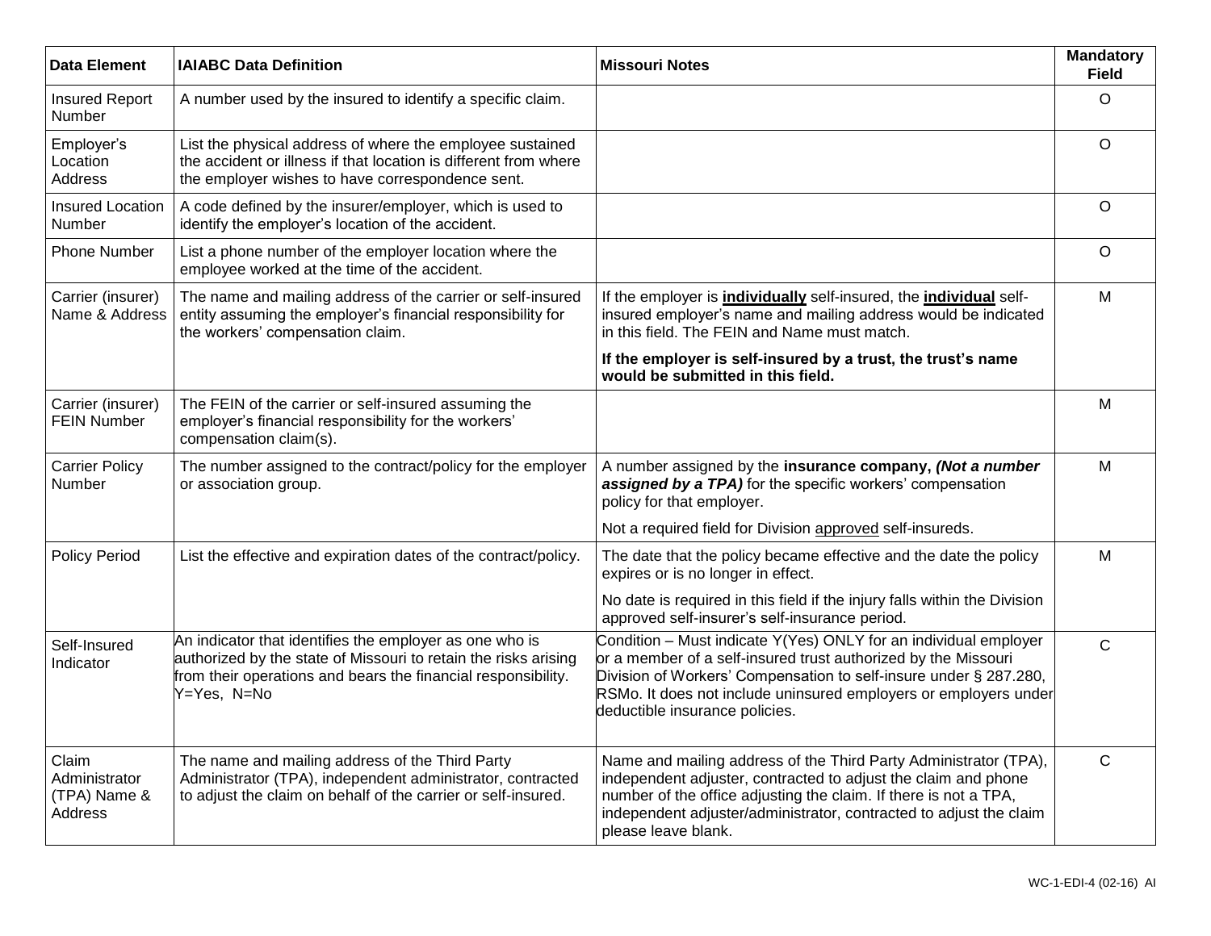| <b>Data Element</b>                               | <b>IAIABC Data Definition</b>                                                                                                                                                                              | <b>Missouri Notes</b>                                                                                                                                                                                                                                                                                         | <b>Mandatory</b><br><b>Field</b> |
|---------------------------------------------------|------------------------------------------------------------------------------------------------------------------------------------------------------------------------------------------------------------|---------------------------------------------------------------------------------------------------------------------------------------------------------------------------------------------------------------------------------------------------------------------------------------------------------------|----------------------------------|
| <b>Insured Report</b><br>Number                   | A number used by the insured to identify a specific claim.                                                                                                                                                 |                                                                                                                                                                                                                                                                                                               | $\circ$                          |
| Employer's<br>Location<br>Address                 | List the physical address of where the employee sustained<br>the accident or illness if that location is different from where<br>the employer wishes to have correspondence sent.                          |                                                                                                                                                                                                                                                                                                               | $\circ$                          |
| <b>Insured Location</b><br>Number                 | A code defined by the insurer/employer, which is used to<br>identify the employer's location of the accident.                                                                                              |                                                                                                                                                                                                                                                                                                               | $\circ$                          |
| <b>Phone Number</b>                               | List a phone number of the employer location where the<br>employee worked at the time of the accident.                                                                                                     |                                                                                                                                                                                                                                                                                                               | $\circ$                          |
| Carrier (insurer)<br>Name & Address               | The name and mailing address of the carrier or self-insured<br>entity assuming the employer's financial responsibility for<br>the workers' compensation claim.                                             | If the employer is <i>individually</i> self-insured, the <i>individual</i> self-<br>insured employer's name and mailing address would be indicated<br>in this field. The FEIN and Name must match.                                                                                                            | M                                |
|                                                   |                                                                                                                                                                                                            | If the employer is self-insured by a trust, the trust's name<br>would be submitted in this field.                                                                                                                                                                                                             |                                  |
| Carrier (insurer)<br><b>FEIN Number</b>           | The FEIN of the carrier or self-insured assuming the<br>employer's financial responsibility for the workers'<br>compensation claim(s).                                                                     |                                                                                                                                                                                                                                                                                                               | M                                |
| <b>Carrier Policy</b><br>Number                   | The number assigned to the contract/policy for the employer<br>or association group.                                                                                                                       | A number assigned by the insurance company, (Not a number<br>assigned by a TPA) for the specific workers' compensation<br>policy for that employer.                                                                                                                                                           | M                                |
|                                                   |                                                                                                                                                                                                            | Not a required field for Division approved self-insureds.                                                                                                                                                                                                                                                     |                                  |
| <b>Policy Period</b>                              | List the effective and expiration dates of the contract/policy.                                                                                                                                            | The date that the policy became effective and the date the policy<br>expires or is no longer in effect.                                                                                                                                                                                                       | M                                |
|                                                   |                                                                                                                                                                                                            | No date is required in this field if the injury falls within the Division<br>approved self-insurer's self-insurance period.                                                                                                                                                                                   |                                  |
| Self-Insured<br>Indicator                         | An indicator that identifies the employer as one who is<br>authorized by the state of Missouri to retain the risks arising<br>from their operations and bears the financial responsibility.<br>Y=Yes, N=No | Condition - Must indicate Y(Yes) ONLY for an individual employer<br>or a member of a self-insured trust authorized by the Missouri<br>Division of Workers' Compensation to self-insure under § 287.280,<br>RSMo. It does not include uninsured employers or employers under<br>deductible insurance policies. | $\mathsf{C}$                     |
| Claim<br>Administrator<br>(TPA) Name &<br>Address | The name and mailing address of the Third Party<br>Administrator (TPA), independent administrator, contracted<br>to adjust the claim on behalf of the carrier or self-insured.                             | Name and mailing address of the Third Party Administrator (TPA),<br>independent adjuster, contracted to adjust the claim and phone<br>number of the office adjusting the claim. If there is not a TPA,<br>independent adjuster/administrator, contracted to adjust the claim<br>please leave blank.           | $\mathsf{C}$                     |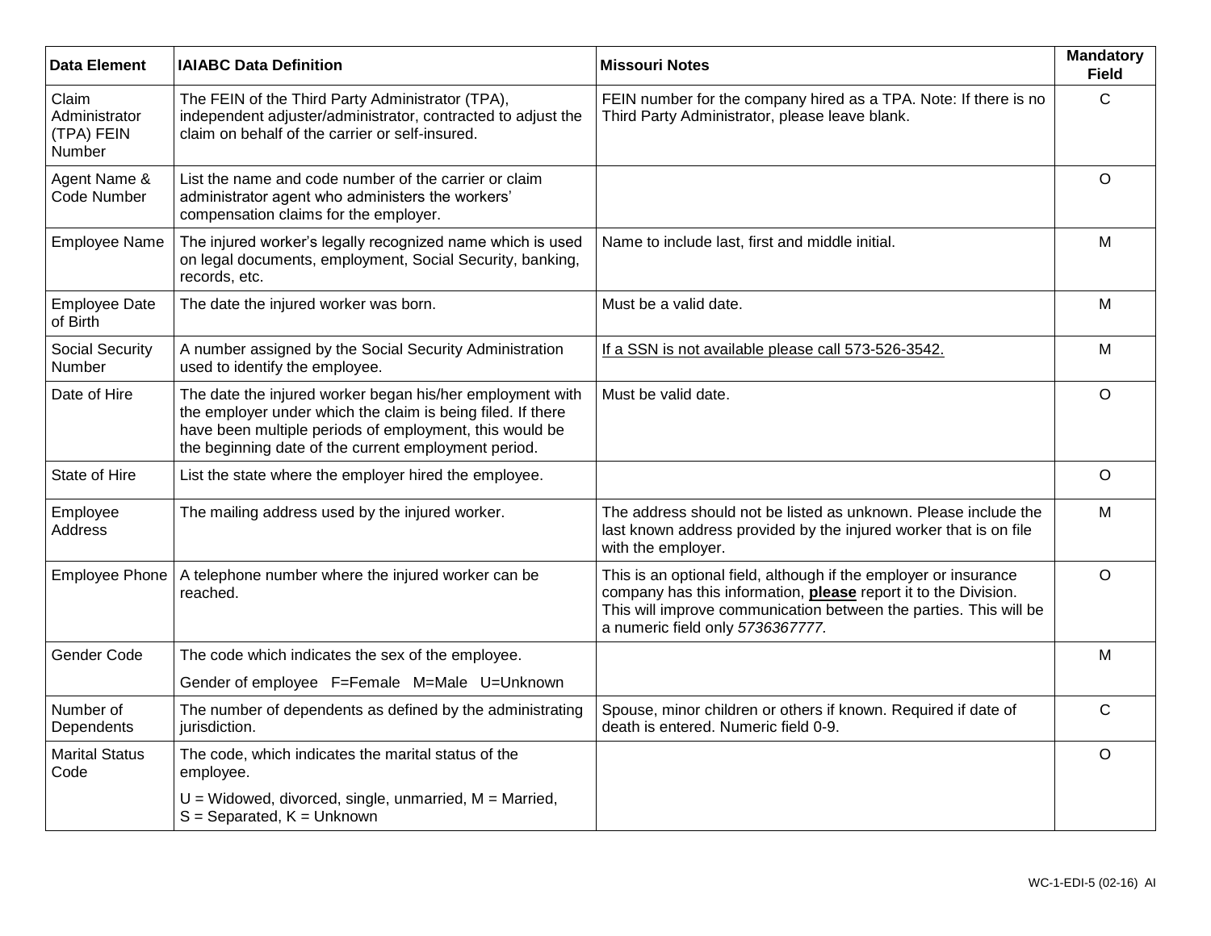| <b>Data Element</b>                            | <b>IAIABC Data Definition</b>                                                                                                                                                                                                               | <b>Missouri Notes</b>                                                                                                                                                                                                                        | <b>Mandatory</b><br><b>Field</b> |
|------------------------------------------------|---------------------------------------------------------------------------------------------------------------------------------------------------------------------------------------------------------------------------------------------|----------------------------------------------------------------------------------------------------------------------------------------------------------------------------------------------------------------------------------------------|----------------------------------|
| Claim<br>Administrator<br>(TPA) FEIN<br>Number | The FEIN of the Third Party Administrator (TPA),<br>independent adjuster/administrator, contracted to adjust the<br>claim on behalf of the carrier or self-insured.                                                                         | FEIN number for the company hired as a TPA. Note: If there is no<br>Third Party Administrator, please leave blank.                                                                                                                           | C                                |
| Agent Name &<br>Code Number                    | List the name and code number of the carrier or claim<br>administrator agent who administers the workers'<br>compensation claims for the employer.                                                                                          |                                                                                                                                                                                                                                              | $\circ$                          |
| <b>Employee Name</b>                           | The injured worker's legally recognized name which is used<br>on legal documents, employment, Social Security, banking,<br>records, etc.                                                                                                    | Name to include last, first and middle initial.                                                                                                                                                                                              | M                                |
| <b>Employee Date</b><br>of Birth               | The date the injured worker was born.                                                                                                                                                                                                       | Must be a valid date.                                                                                                                                                                                                                        | M                                |
| <b>Social Security</b><br>Number               | A number assigned by the Social Security Administration<br>used to identify the employee.                                                                                                                                                   | If a SSN is not available please call 573-526-3542.                                                                                                                                                                                          | M                                |
| Date of Hire                                   | The date the injured worker began his/her employment with<br>the employer under which the claim is being filed. If there<br>have been multiple periods of employment, this would be<br>the beginning date of the current employment period. | Must be valid date.                                                                                                                                                                                                                          | $\circ$                          |
| State of Hire                                  | List the state where the employer hired the employee.                                                                                                                                                                                       |                                                                                                                                                                                                                                              | $\circ$                          |
| Employee<br><b>Address</b>                     | The mailing address used by the injured worker.                                                                                                                                                                                             | The address should not be listed as unknown. Please include the<br>last known address provided by the injured worker that is on file<br>with the employer.                                                                                   | M                                |
| <b>Employee Phone</b>                          | A telephone number where the injured worker can be<br>reached.                                                                                                                                                                              | This is an optional field, although if the employer or insurance<br>company has this information, please report it to the Division.<br>This will improve communication between the parties. This will be<br>a numeric field only 5736367777. | $\circ$                          |
| Gender Code                                    | The code which indicates the sex of the employee.                                                                                                                                                                                           |                                                                                                                                                                                                                                              | M                                |
|                                                | Gender of employee F=Female M=Male U=Unknown                                                                                                                                                                                                |                                                                                                                                                                                                                                              |                                  |
| Number of<br>Dependents                        | The number of dependents as defined by the administrating<br>jurisdiction.                                                                                                                                                                  | Spouse, minor children or others if known. Required if date of<br>death is entered. Numeric field 0-9.                                                                                                                                       | $\mathsf{C}$                     |
| <b>Marital Status</b><br>Code                  | The code, which indicates the marital status of the<br>employee.                                                                                                                                                                            |                                                                                                                                                                                                                                              | $\circ$                          |
|                                                | $U = Widowed$ , divorced, single, unmarried, $M =$ Married,<br>$S =$ Separated, $K =$ Unknown                                                                                                                                               |                                                                                                                                                                                                                                              |                                  |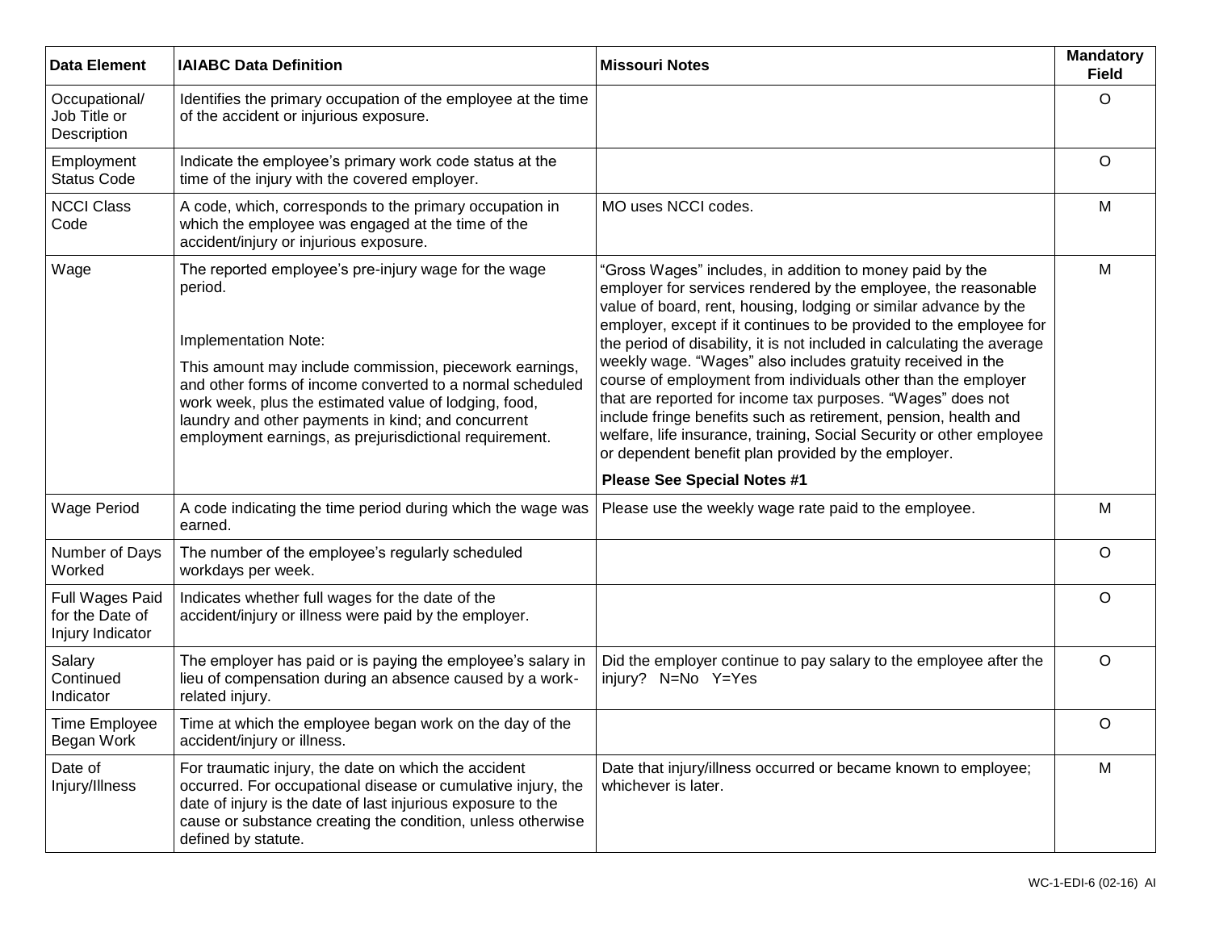| <b>Data Element</b>                                    | <b>IAIABC Data Definition</b>                                                                                                                                                                                                                                                                                                                                                            | <b>Missouri Notes</b>                                                                                                                                                                                                                                                                                                                                                                                                                                                                                                                                                                                                                                                                                                                                                                   | <b>Mandatory</b><br><b>Field</b> |
|--------------------------------------------------------|------------------------------------------------------------------------------------------------------------------------------------------------------------------------------------------------------------------------------------------------------------------------------------------------------------------------------------------------------------------------------------------|-----------------------------------------------------------------------------------------------------------------------------------------------------------------------------------------------------------------------------------------------------------------------------------------------------------------------------------------------------------------------------------------------------------------------------------------------------------------------------------------------------------------------------------------------------------------------------------------------------------------------------------------------------------------------------------------------------------------------------------------------------------------------------------------|----------------------------------|
| Occupational/<br>Job Title or<br>Description           | Identifies the primary occupation of the employee at the time<br>of the accident or injurious exposure.                                                                                                                                                                                                                                                                                  |                                                                                                                                                                                                                                                                                                                                                                                                                                                                                                                                                                                                                                                                                                                                                                                         | $\circ$                          |
| Employment<br><b>Status Code</b>                       | Indicate the employee's primary work code status at the<br>time of the injury with the covered employer.                                                                                                                                                                                                                                                                                 |                                                                                                                                                                                                                                                                                                                                                                                                                                                                                                                                                                                                                                                                                                                                                                                         | O                                |
| <b>NCCI Class</b><br>Code                              | A code, which, corresponds to the primary occupation in<br>which the employee was engaged at the time of the<br>accident/injury or injurious exposure.                                                                                                                                                                                                                                   | MO uses NCCI codes.                                                                                                                                                                                                                                                                                                                                                                                                                                                                                                                                                                                                                                                                                                                                                                     | M                                |
| Wage                                                   | The reported employee's pre-injury wage for the wage<br>period.<br>Implementation Note:<br>This amount may include commission, piecework earnings,<br>and other forms of income converted to a normal scheduled<br>work week, plus the estimated value of lodging, food,<br>laundry and other payments in kind; and concurrent<br>employment earnings, as prejurisdictional requirement. | "Gross Wages" includes, in addition to money paid by the<br>employer for services rendered by the employee, the reasonable<br>value of board, rent, housing, lodging or similar advance by the<br>employer, except if it continues to be provided to the employee for<br>the period of disability, it is not included in calculating the average<br>weekly wage. "Wages" also includes gratuity received in the<br>course of employment from individuals other than the employer<br>that are reported for income tax purposes. "Wages" does not<br>include fringe benefits such as retirement, pension, health and<br>welfare, life insurance, training, Social Security or other employee<br>or dependent benefit plan provided by the employer.<br><b>Please See Special Notes #1</b> | M                                |
| <b>Wage Period</b>                                     | A code indicating the time period during which the wage was<br>earned.                                                                                                                                                                                                                                                                                                                   | Please use the weekly wage rate paid to the employee.                                                                                                                                                                                                                                                                                                                                                                                                                                                                                                                                                                                                                                                                                                                                   | M                                |
| Number of Days<br>Worked                               | The number of the employee's regularly scheduled<br>workdays per week.                                                                                                                                                                                                                                                                                                                   |                                                                                                                                                                                                                                                                                                                                                                                                                                                                                                                                                                                                                                                                                                                                                                                         | O                                |
| Full Wages Paid<br>for the Date of<br>Injury Indicator | Indicates whether full wages for the date of the<br>accident/injury or illness were paid by the employer.                                                                                                                                                                                                                                                                                |                                                                                                                                                                                                                                                                                                                                                                                                                                                                                                                                                                                                                                                                                                                                                                                         | O                                |
| Salary<br>Continued<br>Indicator                       | The employer has paid or is paying the employee's salary in<br>lieu of compensation during an absence caused by a work-<br>related injury.                                                                                                                                                                                                                                               | Did the employer continue to pay salary to the employee after the<br>injury? N=No Y=Yes                                                                                                                                                                                                                                                                                                                                                                                                                                                                                                                                                                                                                                                                                                 | O                                |
| Time Employee<br>Began Work                            | Time at which the employee began work on the day of the<br>accident/injury or illness.                                                                                                                                                                                                                                                                                                   |                                                                                                                                                                                                                                                                                                                                                                                                                                                                                                                                                                                                                                                                                                                                                                                         | O                                |
| Date of<br>Injury/Illness                              | For traumatic injury, the date on which the accident<br>occurred. For occupational disease or cumulative injury, the<br>date of injury is the date of last injurious exposure to the<br>cause or substance creating the condition, unless otherwise<br>defined by statute.                                                                                                               | Date that injury/illness occurred or became known to employee;<br>whichever is later.                                                                                                                                                                                                                                                                                                                                                                                                                                                                                                                                                                                                                                                                                                   | M                                |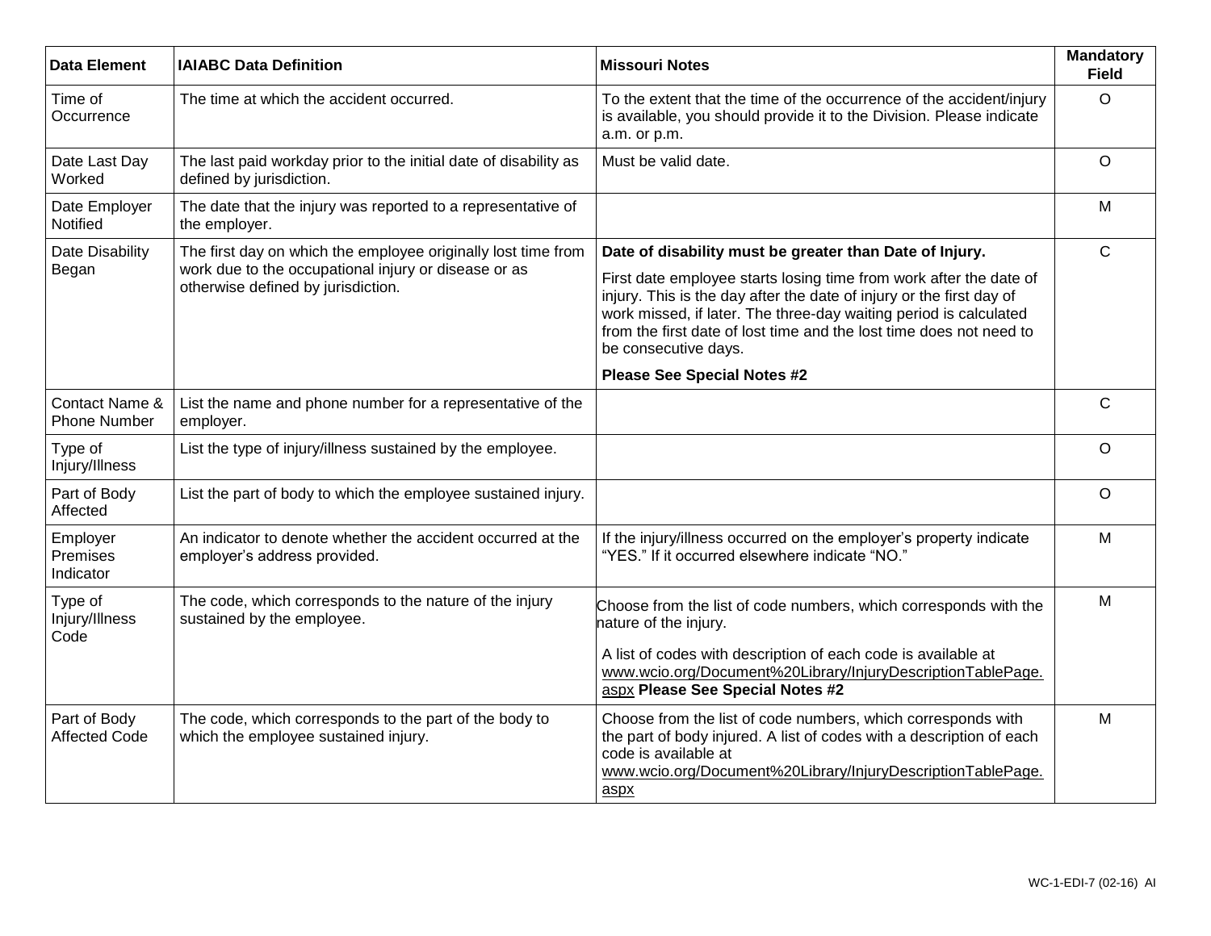| <b>Data Element</b>                   | <b>IAIABC Data Definition</b>                                                                                                                               | <b>Missouri Notes</b>                                                                                                                                                                                                                                                                                                                                                     | <b>Mandatory</b><br><b>Field</b> |
|---------------------------------------|-------------------------------------------------------------------------------------------------------------------------------------------------------------|---------------------------------------------------------------------------------------------------------------------------------------------------------------------------------------------------------------------------------------------------------------------------------------------------------------------------------------------------------------------------|----------------------------------|
| Time of<br>Occurrence                 | The time at which the accident occurred.                                                                                                                    | To the extent that the time of the occurrence of the accident/injury<br>is available, you should provide it to the Division. Please indicate<br>a.m. or p.m.                                                                                                                                                                                                              | $\Omega$                         |
| Date Last Day<br>Worked               | The last paid workday prior to the initial date of disability as<br>defined by jurisdiction.                                                                | Must be valid date.                                                                                                                                                                                                                                                                                                                                                       | $\circ$                          |
| Date Employer<br>Notified             | The date that the injury was reported to a representative of<br>the employer.                                                                               |                                                                                                                                                                                                                                                                                                                                                                           | M                                |
| Date Disability<br>Began              | The first day on which the employee originally lost time from<br>work due to the occupational injury or disease or as<br>otherwise defined by jurisdiction. | Date of disability must be greater than Date of Injury.<br>First date employee starts losing time from work after the date of<br>injury. This is the day after the date of injury or the first day of<br>work missed, if later. The three-day waiting period is calculated<br>from the first date of lost time and the lost time does not need to<br>be consecutive days. | $\mathsf{C}$                     |
|                                       |                                                                                                                                                             | <b>Please See Special Notes #2</b>                                                                                                                                                                                                                                                                                                                                        |                                  |
| Contact Name &<br><b>Phone Number</b> | List the name and phone number for a representative of the<br>employer.                                                                                     |                                                                                                                                                                                                                                                                                                                                                                           | $\mathsf{C}$                     |
| Type of<br>Injury/Illness             | List the type of injury/illness sustained by the employee.                                                                                                  |                                                                                                                                                                                                                                                                                                                                                                           | $\circ$                          |
| Part of Body<br>Affected              | List the part of body to which the employee sustained injury.                                                                                               |                                                                                                                                                                                                                                                                                                                                                                           | $\circ$                          |
| Employer<br>Premises<br>Indicator     | An indicator to denote whether the accident occurred at the<br>employer's address provided.                                                                 | If the injury/illness occurred on the employer's property indicate<br>"YES." If it occurred elsewhere indicate "NO."                                                                                                                                                                                                                                                      | M                                |
| Type of<br>Injury/Illness<br>Code     | The code, which corresponds to the nature of the injury<br>sustained by the employee.                                                                       | Choose from the list of code numbers, which corresponds with the<br>nature of the injury.                                                                                                                                                                                                                                                                                 | M                                |
|                                       |                                                                                                                                                             | A list of codes with description of each code is available at<br>www.wcio.org/Document%20Library/InjuryDescriptionTablePage.<br>aspx Please See Special Notes #2                                                                                                                                                                                                          |                                  |
| Part of Body<br><b>Affected Code</b>  | The code, which corresponds to the part of the body to<br>which the employee sustained injury.                                                              | Choose from the list of code numbers, which corresponds with<br>the part of body injured. A list of codes with a description of each<br>code is available at<br>www.wcio.org/Document%20Library/InjuryDescriptionTablePage.<br>aspx                                                                                                                                       | M                                |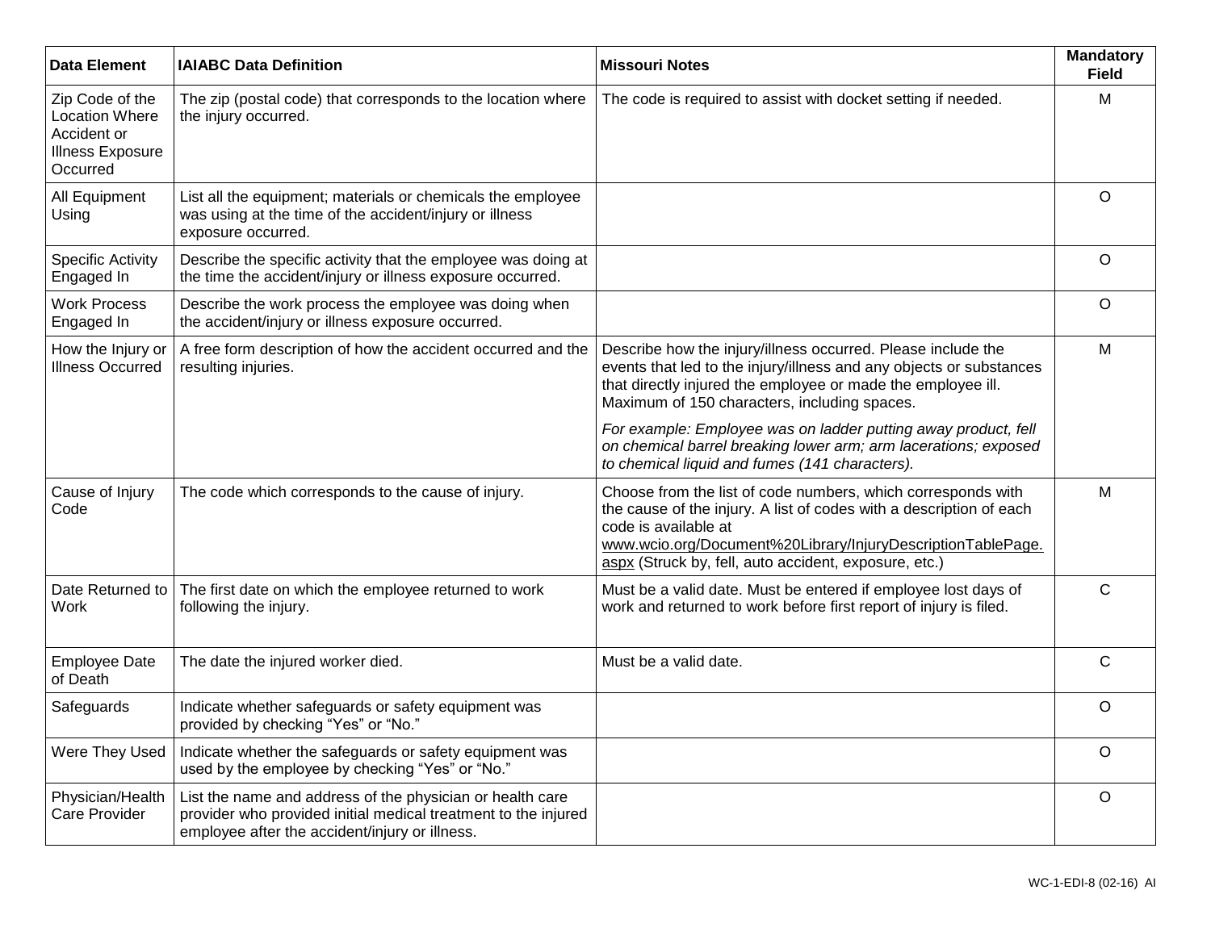| <b>Data Element</b>                                                                            | <b>IAIABC Data Definition</b>                                                                                                                                                 | <b>Missouri Notes</b>                                                                                                                                                                                                                                                               | <b>Mandatory</b><br><b>Field</b> |
|------------------------------------------------------------------------------------------------|-------------------------------------------------------------------------------------------------------------------------------------------------------------------------------|-------------------------------------------------------------------------------------------------------------------------------------------------------------------------------------------------------------------------------------------------------------------------------------|----------------------------------|
| Zip Code of the<br><b>Location Where</b><br>Accident or<br><b>Illness Exposure</b><br>Occurred | The zip (postal code) that corresponds to the location where<br>the injury occurred.                                                                                          | The code is required to assist with docket setting if needed.                                                                                                                                                                                                                       | M                                |
| All Equipment<br>Using                                                                         | List all the equipment; materials or chemicals the employee<br>was using at the time of the accident/injury or illness<br>exposure occurred.                                  |                                                                                                                                                                                                                                                                                     | $\circ$                          |
| <b>Specific Activity</b><br>Engaged In                                                         | Describe the specific activity that the employee was doing at<br>the time the accident/injury or illness exposure occurred.                                                   |                                                                                                                                                                                                                                                                                     | $\circ$                          |
| <b>Work Process</b><br>Engaged In                                                              | Describe the work process the employee was doing when<br>the accident/injury or illness exposure occurred.                                                                    |                                                                                                                                                                                                                                                                                     | $\circ$                          |
| How the Injury or<br><b>Illness Occurred</b>                                                   | A free form description of how the accident occurred and the<br>resulting injuries.                                                                                           | Describe how the injury/illness occurred. Please include the<br>events that led to the injury/illness and any objects or substances<br>that directly injured the employee or made the employee ill.<br>Maximum of 150 characters, including spaces.                                 | M                                |
|                                                                                                |                                                                                                                                                                               | For example: Employee was on ladder putting away product, fell<br>on chemical barrel breaking lower arm; arm lacerations; exposed<br>to chemical liquid and fumes (141 characters).                                                                                                 |                                  |
| Cause of Injury<br>Code                                                                        | The code which corresponds to the cause of injury.                                                                                                                            | Choose from the list of code numbers, which corresponds with<br>the cause of the injury. A list of codes with a description of each<br>code is available at<br>www.wcio.org/Document%20Library/InjuryDescriptionTablePage.<br>aspx (Struck by, fell, auto accident, exposure, etc.) | M                                |
| Date Returned to<br>Work                                                                       | The first date on which the employee returned to work<br>following the injury.                                                                                                | Must be a valid date. Must be entered if employee lost days of<br>work and returned to work before first report of injury is filed.                                                                                                                                                 | $\mathsf{C}$                     |
| <b>Employee Date</b><br>of Death                                                               | The date the injured worker died.                                                                                                                                             | Must be a valid date.                                                                                                                                                                                                                                                               | $\mathsf{C}$                     |
| Safeguards                                                                                     | Indicate whether safeguards or safety equipment was<br>provided by checking "Yes" or "No."                                                                                    |                                                                                                                                                                                                                                                                                     | $\circ$                          |
| Were They Used                                                                                 | Indicate whether the safeguards or safety equipment was<br>used by the employee by checking "Yes" or "No."                                                                    |                                                                                                                                                                                                                                                                                     | $\mathsf O$                      |
| Physician/Health<br>Care Provider                                                              | List the name and address of the physician or health care<br>provider who provided initial medical treatment to the injured<br>employee after the accident/injury or illness. |                                                                                                                                                                                                                                                                                     | $\circ$                          |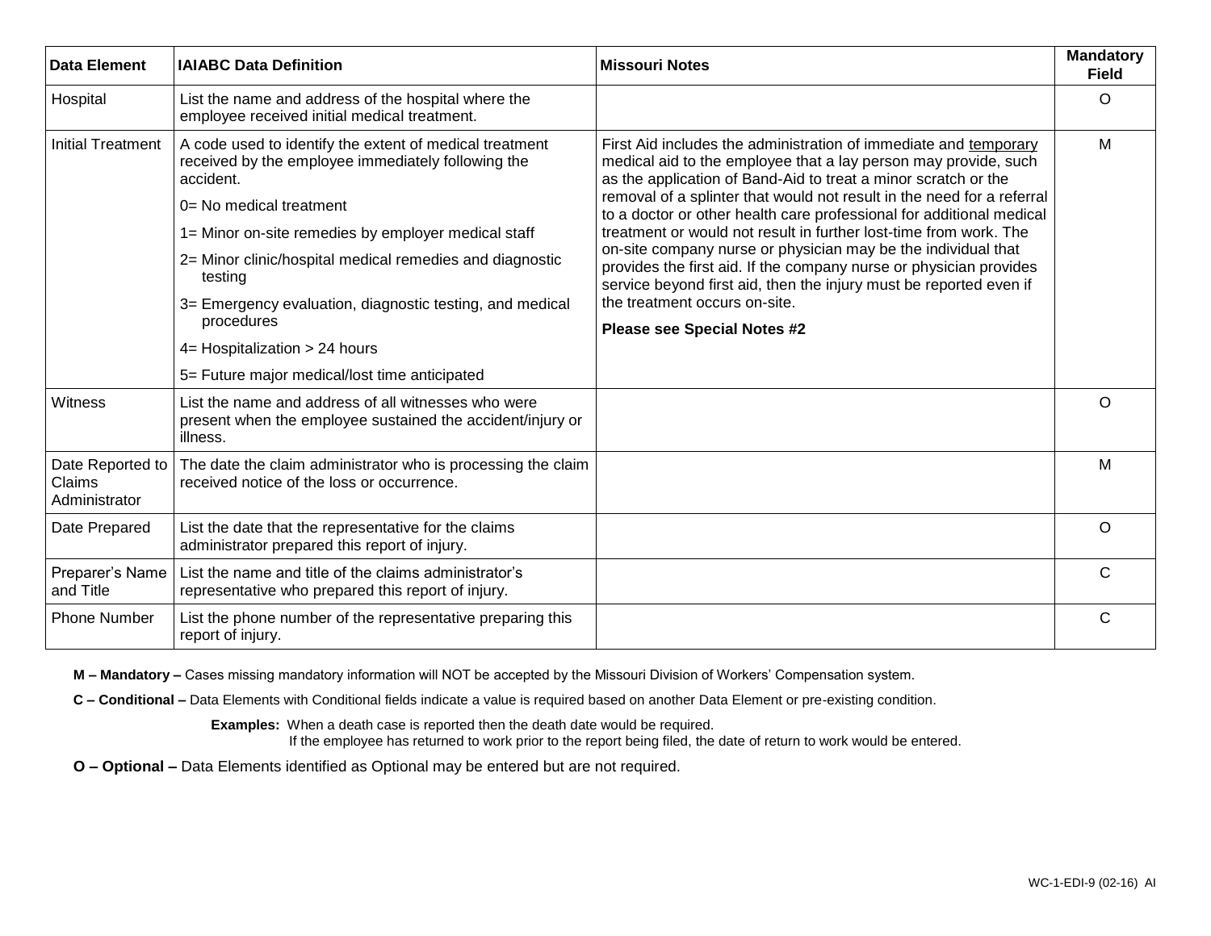| Data Element                                | <b>IAIABC Data Definition</b>                                                                                                                                                                                                                                                                                                                                                                                                                     | <b>Missouri Notes</b>                                                                                                                                                                                                                                                                                                                                                                                                                                                                                                                                                                                                                                                                                            | <b>Mandatory</b><br><b>Field</b> |
|---------------------------------------------|---------------------------------------------------------------------------------------------------------------------------------------------------------------------------------------------------------------------------------------------------------------------------------------------------------------------------------------------------------------------------------------------------------------------------------------------------|------------------------------------------------------------------------------------------------------------------------------------------------------------------------------------------------------------------------------------------------------------------------------------------------------------------------------------------------------------------------------------------------------------------------------------------------------------------------------------------------------------------------------------------------------------------------------------------------------------------------------------------------------------------------------------------------------------------|----------------------------------|
| Hospital                                    | List the name and address of the hospital where the<br>employee received initial medical treatment.                                                                                                                                                                                                                                                                                                                                               |                                                                                                                                                                                                                                                                                                                                                                                                                                                                                                                                                                                                                                                                                                                  | $\circ$                          |
| <b>Initial Treatment</b>                    | A code used to identify the extent of medical treatment<br>received by the employee immediately following the<br>accident.<br>$0=$ No medical treatment<br>1= Minor on-site remedies by employer medical staff<br>2= Minor clinic/hospital medical remedies and diagnostic<br>testing<br>3= Emergency evaluation, diagnostic testing, and medical<br>procedures<br>4= Hospitalization > 24 hours<br>5= Future major medical/lost time anticipated | First Aid includes the administration of immediate and temporary<br>medical aid to the employee that a lay person may provide, such<br>as the application of Band-Aid to treat a minor scratch or the<br>removal of a splinter that would not result in the need for a referral<br>to a doctor or other health care professional for additional medical<br>treatment or would not result in further lost-time from work. The<br>on-site company nurse or physician may be the individual that<br>provides the first aid. If the company nurse or physician provides<br>service beyond first aid, then the injury must be reported even if<br>the treatment occurs on-site.<br><b>Please see Special Notes #2</b> | M                                |
| Witness                                     | List the name and address of all witnesses who were<br>present when the employee sustained the accident/injury or<br>illness.                                                                                                                                                                                                                                                                                                                     |                                                                                                                                                                                                                                                                                                                                                                                                                                                                                                                                                                                                                                                                                                                  | $\circ$                          |
| Date Reported to<br>Claims<br>Administrator | The date the claim administrator who is processing the claim<br>received notice of the loss or occurrence.                                                                                                                                                                                                                                                                                                                                        |                                                                                                                                                                                                                                                                                                                                                                                                                                                                                                                                                                                                                                                                                                                  | M                                |
| Date Prepared                               | List the date that the representative for the claims<br>administrator prepared this report of injury.                                                                                                                                                                                                                                                                                                                                             |                                                                                                                                                                                                                                                                                                                                                                                                                                                                                                                                                                                                                                                                                                                  | $\circ$                          |
| Preparer's Name<br>and Title                | List the name and title of the claims administrator's<br>representative who prepared this report of injury.                                                                                                                                                                                                                                                                                                                                       |                                                                                                                                                                                                                                                                                                                                                                                                                                                                                                                                                                                                                                                                                                                  | $\mathsf{C}$                     |
| <b>Phone Number</b>                         | List the phone number of the representative preparing this<br>report of injury.                                                                                                                                                                                                                                                                                                                                                                   |                                                                                                                                                                                                                                                                                                                                                                                                                                                                                                                                                                                                                                                                                                                  | C                                |

**M – Mandatory –** Cases missing mandatory information will NOT be accepted by the Missouri Division of Workers' Compensation system.

**C – Conditional –** Data Elements with Conditional fields indicate a value is required based on another Data Element or pre-existing condition.

**Examples:** When a death case is reported then the death date would be required.

If the employee has returned to work prior to the report being filed, the date of return to work would be entered.

**O – Optional –** Data Elements identified as Optional may be entered but are not required.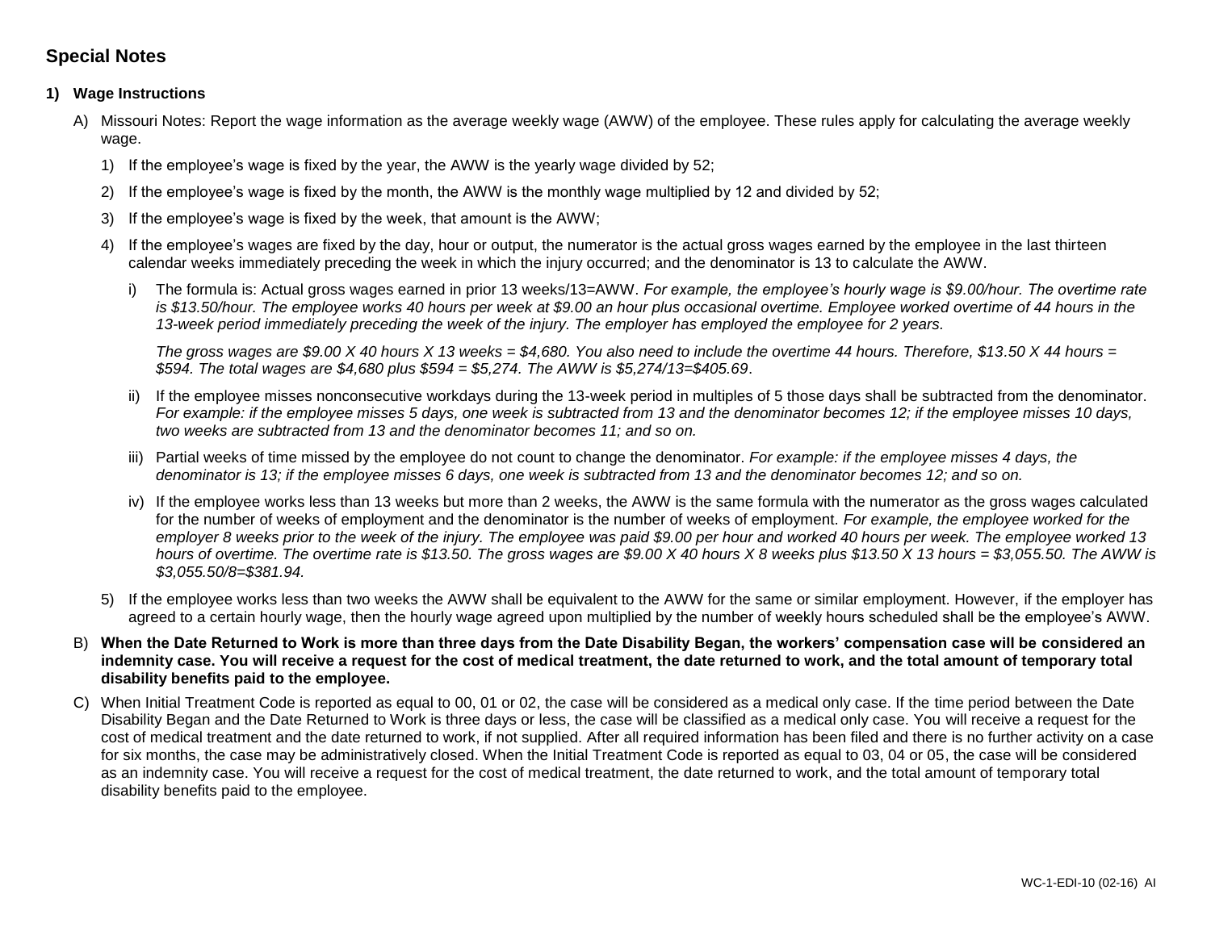## **Special Notes**

### **1) Wage Instructions**

- A) Missouri Notes: Report the wage information as the average weekly wage (AWW) of the employee. These rules apply for calculating the average weekly wage.
	- 1) If the employee's wage is fixed by the year, the AWW is the yearly wage divided by 52;
	- 2) If the employee's wage is fixed by the month, the AWW is the monthly wage multiplied by 12 and divided by 52;
	- 3) If the employee's wage is fixed by the week, that amount is the AWW;
	- 4) If the employee's wages are fixed by the day, hour or output, the numerator is the actual gross wages earned by the employee in the last thirteen calendar weeks immediately preceding the week in which the injury occurred; and the denominator is 13 to calculate the AWW.
		- i) The formula is: Actual gross wages earned in prior 13 weeks/13=AWW. *For example, the employee's hourly wage is \$9.00/hour. The overtime rate is \$13.50/hour. The employee works 40 hours per week at \$9.00 an hour plus occasional overtime. Employee worked overtime of 44 hours in the 13-week period immediately preceding the week of the injury. The employer has employed the employee for 2 years.*

*The gross wages are \$9.00 X 40 hours X 13 weeks = \$4,680. You also need to include the overtime 44 hours. Therefore, \$13.50 X 44 hours = \$594. The total wages are \$4,680 plus \$594 = \$5,274. The AWW is \$5,274/13=\$405.69*.

- ii) If the employee misses nonconsecutive workdays during the 13-week period in multiples of 5 those days shall be subtracted from the denominator. *For example: if the employee misses 5 days, one week is subtracted from 13 and the denominator becomes 12; if the employee misses 10 days, two weeks are subtracted from 13 and the denominator becomes 11; and so on.*
- iii) Partial weeks of time missed by the employee do not count to change the denominator. *For example: if the employee misses 4 days, the denominator is 13; if the employee misses 6 days, one week is subtracted from 13 and the denominator becomes 12; and so on.*
- iv) If the employee works less than 13 weeks but more than 2 weeks, the AWW is the same formula with the numerator as the gross wages calculated for the number of weeks of employment and the denominator is the number of weeks of employment. *For example, the employee worked for the employer 8 weeks prior to the week of the injury. The employee was paid \$9.00 per hour and worked 40 hours per week. The employee worked 13 hours of overtime. The overtime rate is \$13.50. The gross wages are \$9.00 X 40 hours X 8 weeks plus \$13.50 X 13 hours = \$3,055.50. The AWW is \$3,055.50/8=\$381.94.*
- 5) If the employee works less than two weeks the AWW shall be equivalent to the AWW for the same or similar employment. However, if the employer has agreed to a certain hourly wage, then the hourly wage agreed upon multiplied by the number of weekly hours scheduled shall be the employee's AWW.
- B) **When the Date Returned to Work is more than three days from the Date Disability Began, the workers' compensation case will be considered an indemnity case. You will receive a request for the cost of medical treatment, the date returned to work, and the total amount of temporary total disability benefits paid to the employee.**
- C) When Initial Treatment Code is reported as equal to 00, 01 or 02, the case will be considered as a medical only case. If the time period between the Date Disability Began and the Date Returned to Work is three days or less, the case will be classified as a medical only case. You will receive a request for the cost of medical treatment and the date returned to work, if not supplied. After all required information has been filed and there is no further activity on a case for six months, the case may be administratively closed. When the Initial Treatment Code is reported as equal to 03, 04 or 05, the case will be considered as an indemnity case. You will receive a request for the cost of medical treatment, the date returned to work, and the total amount of temporary total disability benefits paid to the employee.